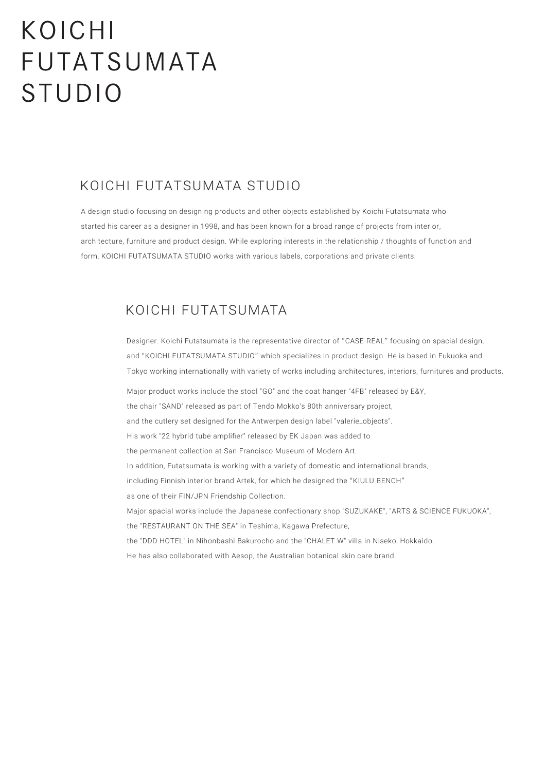# KOICHI FUTATSUMATA **STUDIO**

## KOICHI FUTATSUMATA STUDIO

A design studio focusing on designing products and other objects established by Koichi Futatsumata who started his career as a designer in 1998, and has been known for a broad range of projects from interior, architecture, furniture and product design. While exploring interests in the relationship / thoughts of function and form, KOICHI FUTATSUMATA STUDIO works with various labels, corporations and private clients.

## KOICHI FUTATSUMATA

Designer. Koichi Futatsumata is the representative director of "CASE-REAL" focusing on spacial design, and "KOICHI FUTATSUMATA STUDIO" which specializes in product design. He is based in Fukuoka and Tokyo working internationally with variety of works including architectures, interiors, furnitures and products.

Major product works include the stool "GO" and the coat hanger "4FB" released by E&Y, the chair "SAND" released as part of Tendo Mokko's 80th anniversary project, and the cutlery set designed for the Antwerpen design label "valerie\_objects". His work "22 hybrid tube amplifier" released by EK Japan was added to the permanent collection at San Francisco Museum of Modern Art. In addition, Futatsumata is working with a variety of domestic and international brands, including Finnish interior brand Artek, for which he designed the "KIULU BENCH" as one of their FIN/JPN Friendship Collection. Major spacial works include the Japanese confectionary shop "SUZUKAKE", "ARTS & SCIENCE FUKUOKA", the "RESTAURANT ON THE SEA" in Teshima, Kagawa Prefecture, the "DDD HOTEL" in Nihonbashi Bakurocho and the "CHALET W" villa in Niseko, Hokkaido. He has also collaborated with Aesop, the Australian botanical skin care brand.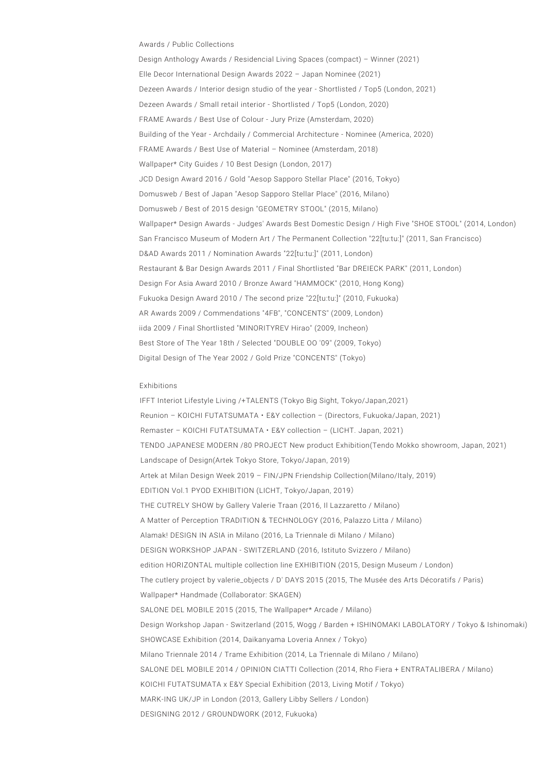#### Awards / Public Collections

Design Anthology Awards / Residencial Living Spaces (compact) – Winner (2021) Elle Decor International Design Awards 2022 – Japan Nominee (2021) Dezeen Awards / Interior design studio of the year - Shortlisted / Top5 (London, 2021) Dezeen Awards / Small retail interior - Shortlisted / Top5 (London, 2020) FRAME Awards / Best Use of Colour - Jury Prize (Amsterdam, 2020) Building of the Year - Archdaily / Commercial Architecture - Nominee (America, 2020) FRAME Awards / Best Use of Material – Nominee (Amsterdam, 2018) Wallpaper\* City Guides / 10 Best Design (London, 2017) JCD Design Award 2016 / Gold "Aesop Sapporo Stellar Place" (2016, Tokyo) Domusweb / Best of Japan "Aesop Sapporo Stellar Place" (2016, Milano) Domusweb / Best of 2015 design "GEOMETRY STOOL" (2015, Milano) Wallpaper\* Design Awards - Judges' Awards Best Domestic Design / High Five "SHOE STOOL" (2014, London) San Francisco Museum of Modern Art / The Permanent Collection "22[tu:tu:]" (2011, San Francisco) D&AD Awards 2011 / Nomination Awards "22[tu:tu:]" (2011, London) Restaurant & Bar Design Awards 2011 / Final Shortlisted "Bar DREIECK PARK" (2011, London) Design For Asia Award 2010 / Bronze Award "HAMMOCK" (2010, Hong Kong) Fukuoka Design Award 2010 / The second prize "22[tu:tu:]" (2010, Fukuoka) AR Awards 2009 / Commendations "4FB", "CONCENTS" (2009, London) iida 2009 / Final Shortlisted "MINORITYREV Hirao" (2009, Incheon) Best Store of The Year 18th / Selected "DOUBLE OO '09" (2009, Tokyo) Digital Design of The Year 2002 / Gold Prize "CONCENTS" (Tokyo)

#### Exhibitions

IFFT Interiot Lifestyle Living /+TALENTS (Tokyo Big Sight, Tokyo/Japan,2021) Reunion – KOICHI FUTATSUMATA・E&Y collection – (Directors, Fukuoka/Japan, 2021) Remaster – KOICHI FUTATSUMATA・E&Y collection – (LICHT. Japan, 2021) TENDO JAPANESE MODERN /80 PROJECT New product Exhibition(Tendo Mokko showroom, Japan, 2021) Landscape of Design(Artek Tokyo Store, Tokyo/Japan, 2019) Artek at Milan Design Week 2019 – FIN/JPN Friendship Collection(Milano/Italy, 2019) EDITION Vol.1 PYOD EXHIBITION (LICHT, Tokyo/Japan, 2019) THE CUTRELY SHOW by Gallery Valerie Traan (2016, Il Lazzaretto / Milano) A Matter of Perception TRADITION & TECHNOLOGY (2016, Palazzo Litta / Milano) Alamak! DESIGN IN ASIA in Milano (2016, La Triennale di Milano / Milano) DESIGN WORKSHOP JAPAN - SWITZERLAND (2016, Istituto Svizzero / Milano) edition HORIZONTAL multiple collection line EXHIBITION (2015, Design Museum / London) The cutlery project by valerie\_objects / D' DAYS 2015 (2015, The Musée des Arts Décoratifs / Paris) Wallpaper\* Handmade (Collaborator: SKAGEN) SALONE DEL MOBILE 2015 (2015, The Wallpaper\* Arcade / Milano) Design Workshop Japan - Switzerland (2015, Wogg / Barden + ISHINOMAKI LABOLATORY / Tokyo & Ishinomaki) SHOWCASE Exhibition (2014, Daikanyama Loveria Annex / Tokyo) Milano Triennale 2014 / Trame Exhibition (2014, La Triennale di Milano / Milano) SALONE DEL MOBILE 2014 / OPINION CIATTI Collection (2014, Rho Fiera + ENTRATALIBERA / Milano) KOICHI FUTATSUMATA x E&Y Special Exhibition (2013, Living Motif / Tokyo) MARK-ING UK/JP in London (2013, Gallery Libby Sellers / London) DESIGNING 2012 / GROUNDWORK (2012, Fukuoka)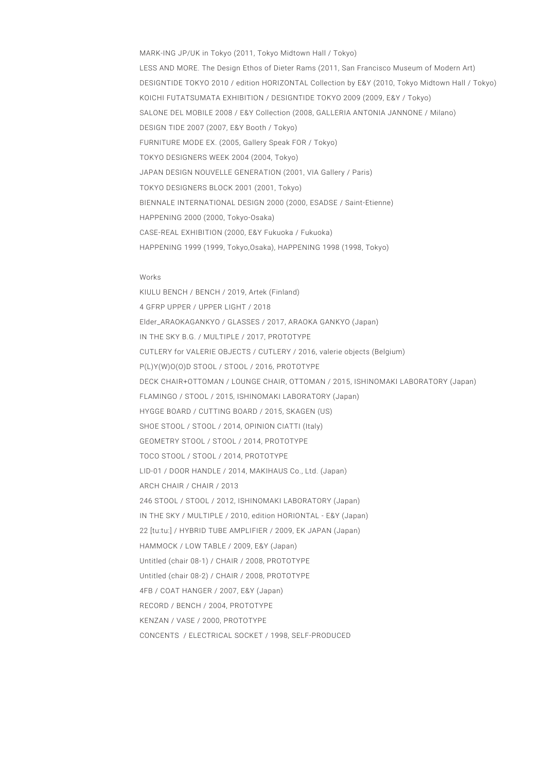MARK-ING JP/UK in Tokyo (2011, Tokyo Midtown Hall / Tokyo) LESS AND MORE. The Design Ethos of Dieter Rams (2011, San Francisco Museum of Modern Art) DESIGNTIDE TOKYO 2010 / edition HORIZONTAL Collection by E&Y (2010, Tokyo Midtown Hall / Tokyo) KOICHI FUTATSUMATA EXHIBITION / DESIGNTIDE TOKYO 2009 (2009, E&Y / Tokyo) SALONE DEL MOBILE 2008 / E&Y Collection (2008, GALLERIA ANTONIA JANNONE / Milano) DESIGN TIDE 2007 (2007, E&Y Booth / Tokyo) FURNITURE MODE EX. (2005, Gallery Speak FOR / Tokyo) TOKYO DESIGNERS WEEK 2004 (2004, Tokyo) JAPAN DESIGN NOUVELLE GENERATION (2001, VIA Gallery / Paris) TOKYO DESIGNERS BLOCK 2001 (2001, Tokyo) BIENNALE INTERNATIONAL DESIGN 2000 (2000, ESADSE / Saint-Etienne) HAPPENING 2000 (2000, Tokyo-Osaka) CASE-REAL EXHIBITION (2000, E&Y Fukuoka / Fukuoka) HAPPENING 1999 (1999, Tokyo,Osaka), HAPPENING 1998 (1998, Tokyo)

### Works

KIULU BENCH / BENCH / 2019, Artek (Finland) 4 GFRP UPPER / UPPER LIGHT / 2018 Elder\_ARAOKAGANKYO / GLASSES / 2017, ARAOKA GANKYO (Japan) IN THE SKY B.G. / MULTIPLE / 2017, PROTOTYPE CUTLERY for VALERIE OBJECTS / CUTLERY / 2016, valerie objects (Belgium) P(L)Y(W)O(O)D STOOL / STOOL / 2016, PROTOTYPE DECK CHAIR+OTTOMAN / LOUNGE CHAIR, OTTOMAN / 2015, ISHINOMAKI LABORATORY (Japan) FLAMINGO / STOOL / 2015, ISHINOMAKI LABORATORY (Japan) HYGGE BOARD / CUTTING BOARD / 2015, SKAGEN (US) SHOE STOOL / STOOL / 2014, OPINION CIATTI (Italy) GEOMETRY STOOL / STOOL / 2014, PROTOTYPE TOCO STOOL / STOOL / 2014, PROTOTYPE LID-01 / DOOR HANDLE / 2014, MAKIHAUS Co., Ltd. (Japan) ARCH CHAIR / CHAIR / 2013 246 STOOL / STOOL / 2012, ISHINOMAKI LABORATORY (Japan) IN THE SKY / MULTIPLE / 2010, edition HORIONTAL - E&Y (Japan) 22 [tu:tu:] / HYBRID TUBE AMPLIFIER / 2009, EK JAPAN (Japan) HAMMOCK / LOW TABLE / 2009, E&Y (Japan) Untitled (chair 08-1) / CHAIR / 2008, PROTOTYPE Untitled (chair 08-2) / CHAIR / 2008, PROTOTYPE 4FB / COAT HANGER / 2007, E&Y (Japan) RECORD / BENCH / 2004, PROTOTYPE KENZAN / VASE / 2000, PROTOTYPE CONCENTS / ELECTRICAL SOCKET / 1998, SELF-PRODUCED